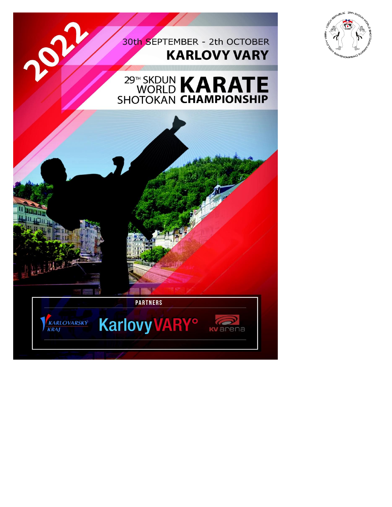### 30th SEPTEMBER - 2th OCTOBER **KARLOVY VARY**







APP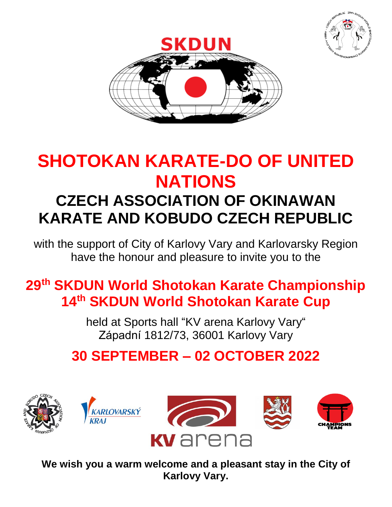



## **SHOTOKAN KARATE-DO OF UNITED NATIONS CZECH ASSOCIATION OF OKINAWAN**

# **KARATE AND KOBUDO CZECH REPUBLIC**

with the support of City of Karlovy Vary and Karlovarsky Region have the honour and pleasure to invite you to the

### **29th SKDUN World Shotokan Karate Championship 14 th SKDUN World Shotokan Karate Cup**

held at Sports hall "KV arena Karlovy Vary" Západní 1812/73, 36001 Karlovy Vary

### **30 SEPTEMBER – 02 OCTOBER 2022**









**We wish you a warm welcome and a pleasant stay in the City of Karlovy Vary.**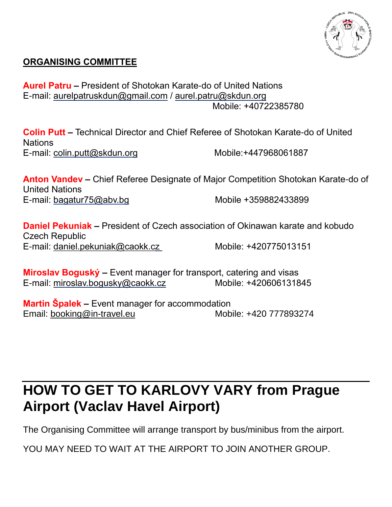

#### **ORGANISING COMMITTEE**

**Aurel Patru –** President of Shotokan Karate-do of United Nations E-mail: [aurelpatruskdun@gmail.com](mailto:aurelpatruskdun@gmail.com) / [aurel.patru@skdun.org](mailto:aurel.patru@skdun.org) Mobile: +40722385780

**Colin Putt –** Technical Director and Chief Referee of Shotokan Karate-do of United **Nations** E-mail: [colin.putt@skdun.org](mailto:colin.putt@skdun.org) Mobile:+447968061887

**Anton Vandev –** Chief Referee Designate of Major Competition Shotokan Karate-do of United Nations E-mail: bagatur75@abv.bg Mobile +359882433899

**Daniel Pekuniak –** President of Czech association of Okinawan karate and kobudo Czech Republic E-mail: daniel.pekuniak@caokk.cz Mobile: +420775013151

**Miroslav Boguský –** Event manager for transport, catering and visas E-mail: miroslav.bogusky@caokk.cz Mobile: +420606131845

**Martin Špalek –** Event manager for accommodation Email: [booking@in-travel.eu](mailto:booking@in-travel.eu) Mobile: +420 777893274

### **HOW TO GET TO KARLOVY VARY from Prague Airport (Vaclav Havel Airport)**

The Organising Committee will arrange transport by bus/minibus from the airport.

YOU MAY NEED TO WAIT AT THE AIRPORT TO JOIN ANOTHER GROUP.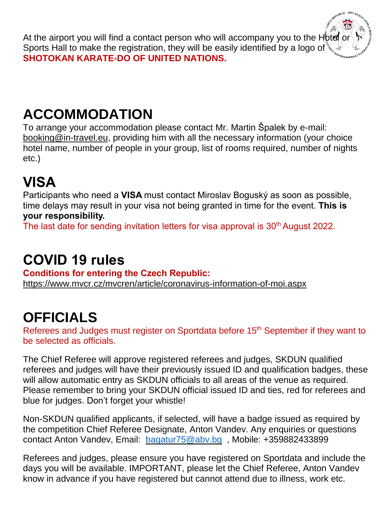At the airport you will find a contact person who will accompany you to the Hotel  $\circ$ Sports Hall to make the registration, they will be easily identified by a logo of  $\mathcal{E}$ **SHOTOKAN KARATE-DO OF UNITED NATIONS.**

## **ACCOMMODATION**

To arrange your accommodation please contact Mr. Martin Špalek by e-mail: [booking@in-travel.eu,](mailto:booking@in-travel.eu) providing him with all the necessary information (your choice hotel name, number of people in your group, list of rooms required, number of nights etc.)

## **VISA**

Participants who need a **VISA** must contact Miroslav Boguský as soon as possible, time delays may result in your visa not being granted in time for the event. **This is your responsibility.**

The last date for sending invitation letters for visa approval is 30<sup>th</sup> August 2022.

### **COVID 19 rules**

**Conditions for entering the Czech Republic:** <https://www.mvcr.cz/mvcren/article/coronavirus-information-of-moi.aspx>

### **OFFICIALS**

Referees and Judges must register on Sportdata before 15<sup>th</sup> September if they want to be selected as officials.

The Chief Referee will approve registered referees and judges, SKDUN qualified referees and judges will have their previously issued ID and qualification badges, these will allow automatic entry as SKDUN officials to all areas of the venue as required. Please remember to bring your SKDUN official issued ID and ties, red for referees and blue for judges. Don't forget your whistle!

Non-SKDUN qualified applicants, if selected, will have a badge issued as required by the competition Chief Referee Designate, Anton Vandev. Any enquiries or questions contact Anton Vandev, Email: [bagatur75@abv.bg](mailto:bagatur75@abv.bg) , Mobile: +359882433899

Referees and judges, please ensure you have registered on Sportdata and include the days you will be available. IMPORTANT, please let the Chief Referee, Anton Vandev know in advance if you have registered but cannot attend due to illness, work etc.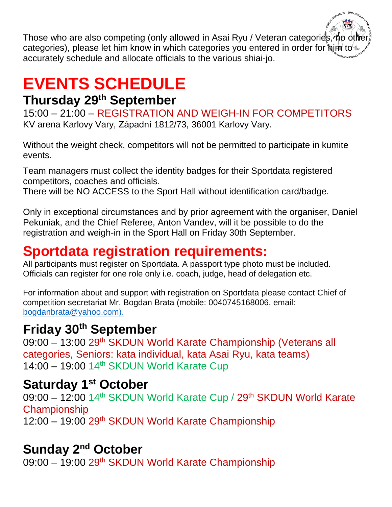Those who are also competing (only allowed in Asai Ryu / Veteran categories, no other categories), please let him know in which categories you entered in order for him to accurately schedule and allocate officials to the various shiai-jo.

## **EVENTS SCHEDULE**

### **Thursday 29th September**

15:00 – 21:00 – REGISTRATION AND WEIGH-IN FOR COMPETITORS KV arena Karlovy Vary, Západní 1812/73, 36001 Karlovy Vary.

Without the weight check, competitors will not be permitted to participate in kumite events.

Team managers must collect the identity badges for their Sportdata registered competitors, coaches and officials.

There will be NO ACCESS to the Sport Hall without identification card/badge.

Only in exceptional circumstances and by prior agreement with the organiser, Daniel Pekuniak, and the Chief Referee, Anton Vandev, will it be possible to do the registration and weigh-in in the Sport Hall on Friday 30th September.

### **Sportdata registration requirements:**

All participants must register on Sportdata. A passport type photo must be included. Officials can register for one role only i.e. coach, judge, head of delegation etc.

For information about and support with registration on Sportdata please contact Chief of competition secretariat Mr. Bogdan Brata (mobile: 0040745168006, email: [bogdanbrata@yahoo.com\)](mailto:bogdanbrata@yahoo.com).

#### **Friday 30th September**

09:00 – 13:00 29<sup>th</sup> SKDUN World Karate Championship (Veterans all categories, Seniors: kata individual, kata Asai Ryu, kata teams)  $14:00 - 19:00$   $14<sup>th</sup>$  SKDUN World Karate Cup

### **Saturday 1st October**

09:00 – 12:00 14<sup>th</sup> SKDUN World Karate Cup / 29<sup>th</sup> SKDUN World Karate **Championship** 12:00 – 19:00 29<sup>th</sup> SKDUN World Karate Championship

### **Sunday 2<sup>nd</sup> October**

09:00 – 19:00 29<sup>th</sup> SKDUN World Karate Championship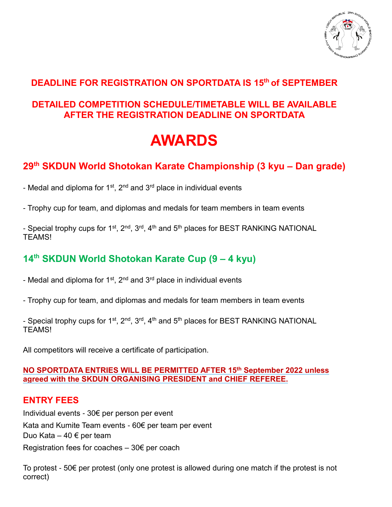

#### **DEADLINE FOR REGISTRATION ON SPORTDATA IS 15th of SEPTEMBER**

#### **DETAILED COMPETITION SCHEDULE/TIMETABLE WILL BE AVAILABLE AFTER THE REGISTRATION DEADLINE ON SPORTDATA**

## **AWARDS**

#### **29th SKDUN World Shotokan Karate Championship (3 kyu – Dan grade)**

- Medal and diploma for 1<sup>st</sup>, 2<sup>nd</sup> and 3<sup>rd</sup> place in individual events

- Trophy cup for team, and diplomas and medals for team members in team events

- Special trophy cups for 1<sup>st</sup>, 2<sup>nd</sup>, 3<sup>rd</sup>, 4<sup>th</sup> and 5<sup>th</sup> places for BEST RANKING NATIONAL TEAMS!

#### **14 th SKDUN World Shotokan Karate Cup (9 – 4 kyu)**

- Medal and diploma for 1<sup>st</sup>, 2<sup>nd</sup> and 3<sup>rd</sup> place in individual events

- Trophy cup for team, and diplomas and medals for team members in team events

- Special trophy cups for 1<sup>st</sup>, 2<sup>nd</sup>, 3<sup>rd</sup>, 4<sup>th</sup> and 5<sup>th</sup> places for BEST RANKING NATIONAL **TFAMS!** 

All competitors will receive a certificate of participation.

#### **NO SPORTDATA ENTRIES WILL BE PERMITTED AFTER 15th September 2022 unless agreed with the SKDUN ORGANISING PRESIDENT and CHIEF REFEREE.**

#### **ENTRY FEES**

Individual events - 30€ per person per event Kata and Kumite Team events - 60€ per team per event Duo Kata – 40 € per team Registration fees for coaches  $-30 \epsilon$  per coach

To protest - 50€ per protest (only one protest is allowed during one match if the protest is not correct)